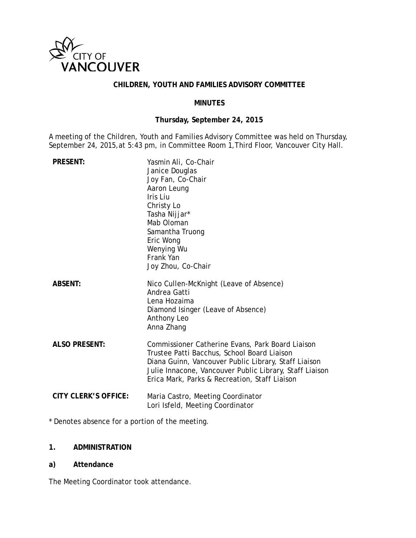

## **CHILDREN, YOUTH AND FAMILIES ADVISORY COMMITTEE**

# **MINUTES**

# **Thursday, September 24, 2015**

A meeting of the Children, Youth and Families Advisory Committee was held on Thursday, September 24, 2015, at 5:43 pm, in Committee Room 1, Third Floor, Vancouver City Hall.

| <b>PRESENT:</b>      | Yasmin Ali, Co-Chair<br>Janice Douglas<br>Joy Fan, Co-Chair<br>Aaron Leung<br>Iris Liu<br>Christy Lo<br>Tasha Nijjar*<br>Mab Oloman<br>Samantha Truong<br>Eric Wong<br>Wenying Wu<br>Frank Yan<br>Joy Zhou, Co-Chair                                                |
|----------------------|---------------------------------------------------------------------------------------------------------------------------------------------------------------------------------------------------------------------------------------------------------------------|
| <b>ABSENT:</b>       | Nico Cullen-McKnight (Leave of Absence)<br>Andrea Gatti<br>Lena Hozaima<br>Diamond Isinger (Leave of Absence)<br>Anthony Leo<br>Anna Zhang                                                                                                                          |
| <b>ALSO PRESENT:</b> | Commissioner Catherine Evans, Park Board Liaison<br>Trustee Patti Bacchus, School Board Liaison<br>Diana Guinn, Vancouver Public Library, Staff Liaison<br>Julie Innacone, Vancouver Public Library, Staff Liaison<br>Erica Mark, Parks & Recreation, Staff Liaison |
| CITY CLERK'S OFFICE: | Maria Castro, Meeting Coordinator<br>Lori Isfeld, Meeting Coordinator                                                                                                                                                                                               |

\* Denotes absence for a portion of the meeting.

#### **1. ADMINISTRATION**

**a) Attendance**

The Meeting Coordinator took attendance.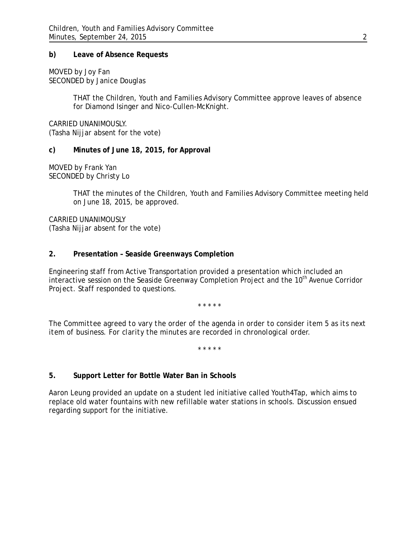#### **b) Leave of Absence Requests**

MOVED by Joy Fan SECONDED by Janice Douglas

> THAT the Children, Youth and Families Advisory Committee approve leaves of absence for Diamond Isinger and Nico-Cullen-McKnight.

CARRIED UNANIMOUSLY. (Tasha Nijjar absent for the vote)

## **c) Minutes of June 18, 2015, for Approval**

MOVED by Frank Yan SECONDED by Christy Lo

> THAT the minutes of the Children, Youth and Families Advisory Committee meeting held on June 18, 2015, be approved.

CARRIED UNANIMOUSLY (Tasha Nijjar absent for the vote)

# **2. Presentation – Seaside Greenways Completion**

Engineering staff from Active Transportation provided a presentation which included an interactive session on the Seaside Greenway Completion Project and the 10<sup>th</sup> Avenue Corridor Project. Staff responded to questions.

\* \* \* \* \*

*The Committee agreed to vary the order of the agenda in order to consider item 5 as its next item of business. For clarity the minutes are recorded in chronological order.*

\* \* \* \* \*

# **5. Support Letter for Bottle Water Ban in Schools**

Aaron Leung provided an update on a student led initiative called Youth4Tap, which aims to replace old water fountains with new refillable water stations in schools. Discussion ensued regarding support for the initiative.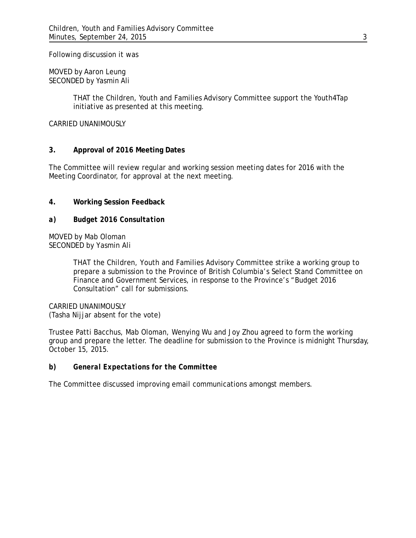Following discussion it was

MOVED by Aaron Leung SECONDED by Yasmin Ali

> THAT the Children, Youth and Families Advisory Committee support the Youth4Tap initiative as presented at this meeting.

CARRIED UNANIMOUSLY

# **3. Approval of 2016 Meeting Dates**

The Committee will review regular and working session meeting dates for 2016 with the Meeting Coordinator, for approval at the next meeting.

## **4. Working Session Feedback**

## *a) Budget 2016 Consultation*

MOVED by Mab Oloman SECONDED by Yasmin Ali

> THAT the Children, Youth and Families Advisory Committee strike a working group to prepare a submission to the Province of British Columbia's Select Stand Committee on Finance and Government Services, in response to the Province's "Budget 2016 Consultation" call for submissions.

CARRIED UNANIMOUSLY (Tasha Nijjar absent for the vote)

Trustee Patti Bacchus, Mab Oloman, Wenying Wu and Joy Zhou agreed to form the working group and prepare the letter. The deadline for submission to the Province is midnight Thursday, October 15, 2015.

# *b) General Expectations for the Committee*

The Committee discussed improving email communications amongst members.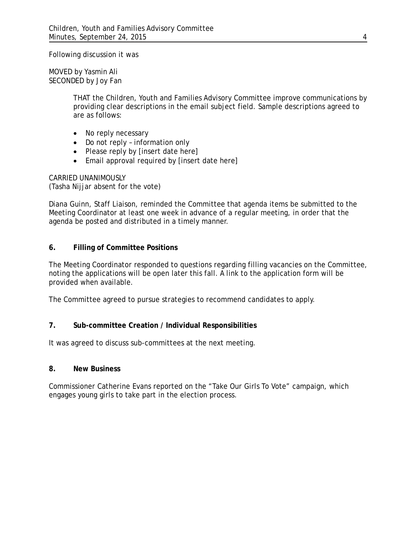Following discussion it was

MOVED by Yasmin Ali SECONDED by Joy Fan

> THAT the Children, Youth and Families Advisory Committee improve communications by providing clear descriptions in the email subject field. Sample descriptions agreed to are as follows:

- No reply necessary
- Do not reply information only
- Please reply by [insert date here]
- Email approval required by [insert date here]

CARRIED UNANIMOUSLY (Tasha Nijjar absent for the vote)

Diana Guinn, Staff Liaison, reminded the Committee that agenda items be submitted to the Meeting Coordinator at least one week in advance of a regular meeting, in order that the agenda be posted and distributed in a timely manner.

# **6. Filling of Committee Positions**

The Meeting Coordinator responded to questions regarding filling vacancies on the Committee, noting the applications will be open later this fall. A link to the application form will be provided when available.

The Committee agreed to pursue strategies to recommend candidates to apply.

# **7. Sub-committee Creation / Individual Responsibilities**

It was agreed to discuss sub-committees at the next meeting.

#### **8. New Business**

Commissioner Catherine Evans reported on the "Take Our Girls To Vote" campaign, which engages young girls to take part in the election process.